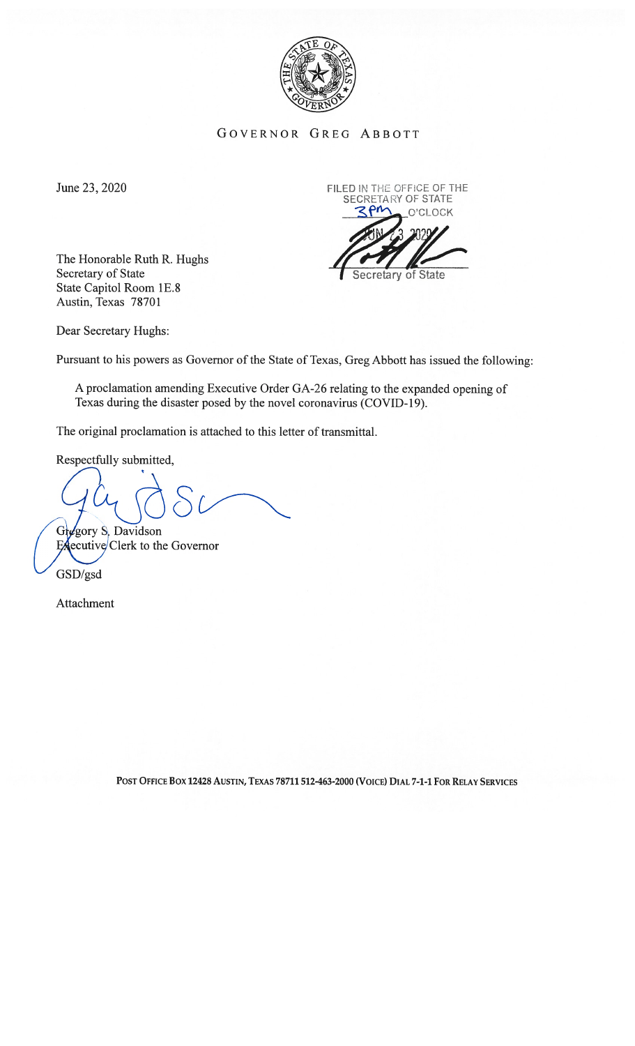

GOVERNOR GREG ABBOTT

The Honorable Ruth R. Hughs Secretary of State Secretary of State State Capitol Room 1E.8 Austin, Texas 78701



Dear Secretary Hughs:

Pursuant to his powers as Governor of the State of Texas, Greg Abbott has issued the following:

A proclamation amending Executive Order GA-26 relating to the expanded opening of Texas during the disaster posed by the novel coronavirus (COVID-19).

The original proclamation is attached to this letter of transmittal.

Respectfully submitted.

Gregory S. Davidson

 $E$ **executive** Clerk to the Governor

GSD/gsd

Attachment

POST OFFICE Box 12428 AUSTIN, TEXAS 78711 512-463-2000 (VoICE) DIAL 7-1-1 FoR RELAY SERVICES